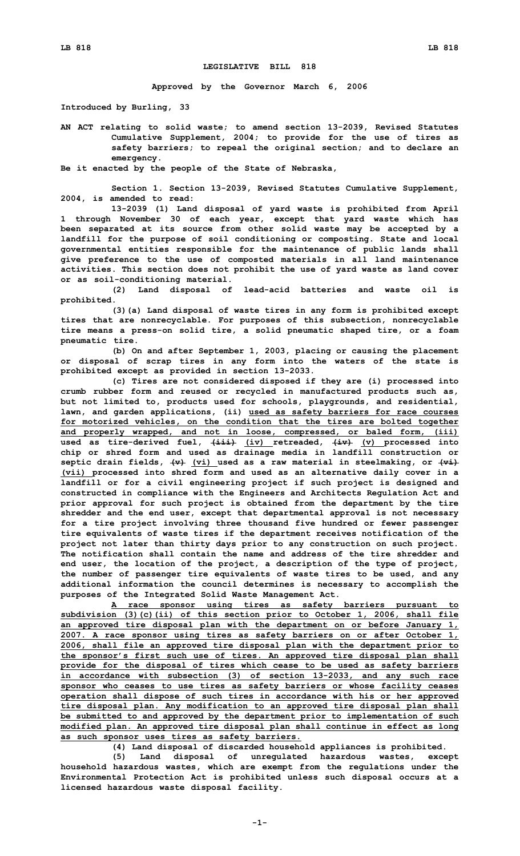## **LEGISLATIVE BILL 818**

**Approved by the Governor March 6, 2006**

**Introduced by Burling, 33**

**AN ACT relating to solid waste; to amend section 13-2039, Revised Statutes Cumulative Supplement, 2004; to provide for the use of tires as safety barriers; to repeal the original section; and to declare an emergency.**

**Be it enacted by the people of the State of Nebraska,**

**Section 1. Section 13-2039, Revised Statutes Cumulative Supplement, 2004, is amended to read:**

**13-2039 (1) Land disposal of yard waste is prohibited from April 1 through November 30 of each year, except that yard waste which has been separated at its source from other solid waste may be accepted by <sup>a</sup> landfill for the purpose of soil conditioning or composting. State and local governmental entities responsible for the maintenance of public lands shall give preference to the use of composted materials in all land maintenance activities. This section does not prohibit the use of yard waste as land cover or as soil-conditioning material.**

**(2) Land disposal of lead-acid batteries and waste oil is prohibited.**

**(3)(a) Land disposal of waste tires in any form is prohibited except tires that are nonrecyclable. For purposes of this subsection, nonrecyclable tire means <sup>a</sup> press-on solid tire, <sup>a</sup> solid pneumatic shaped tire, or <sup>a</sup> foam pneumatic tire.**

**(b) On and after September 1, 2003, placing or causing the placement or disposal of scrap tires in any form into the waters of the state is prohibited except as provided in section 13-2033.**

**(c) Tires are not considered disposed if they are (i) processed into crumb rubber form and reused or recycled in manufactured products such as, but not limited to, products used for schools, playgrounds, and residential, lawn, and garden applications, (ii) used as safety barriers for race courses for motorized vehicles, on the condition that the tires are bolted together and properly wrapped, and not in loose, compressed, or baled form, (iii) used** as tire-derived fuel,  $\frac{1+i}{2}$  (iv) retreaded,  $\frac{1+i}{2}$  (v) processed into **chip or shred form and used as drainage media in landfill construction or septic drain fields, (v) (vi) used as <sup>a</sup> raw material in steelmaking, or (vi) (vii) processed into shred form and used as an alternative daily cover in <sup>a</sup> landfill or for <sup>a</sup> civil engineering project if such project is designed and constructed in compliance with the Engineers and Architects Regulation Act and prior approval for such project is obtained from the department by the tire shredder and the end user, except that departmental approval is not necessary for <sup>a</sup> tire project involving three thousand five hundred or fewer passenger tire equivalents of waste tires if the department receives notification of the project not later than thirty days prior to any construction on such project. The notification shall contain the name and address of the tire shredder and end user, the location of the project, <sup>a</sup> description of the type of project, the number of passenger tire equivalents of waste tires to be used, and any additional information the council determines is necessary to accomplish the purposes of the Integrated Solid Waste Management Act.**

**A race sponsor using tires as safety barriers pursuant to subdivision (3)(c)(ii) of this section prior to October 1, 2006, shall file an approved tire disposal plan with the department on or before January 1, 2007. <sup>A</sup> race sponsor using tires as safety barriers on or after October 1, 2006, shall file an approved tire disposal plan with the department prior to the sponsor's first such use of tires. An approved tire disposal plan shall provide for the disposal of tires which cease to be used as safety barriers in accordance with subsection (3) of section 13-2033, and any such race sponsor who ceases to use tires as safety barriers or whose facility ceases operation shall dispose of such tires in accordance with his or her approved tire disposal plan. Any modification to an approved tire disposal plan shall be submitted to and approved by the department prior to implementation of such modified plan. An approved tire disposal plan shall continue in effect as long as such sponsor uses tires as safety barriers.**

**(4) Land disposal of discarded household appliances is prohibited.**

**(5) Land disposal of unregulated hazardous wastes, except household hazardous wastes, which are exempt from the regulations under the Environmental Protection Act is prohibited unless such disposal occurs at <sup>a</sup> licensed hazardous waste disposal facility.**